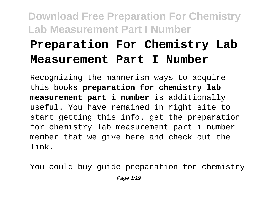# **Preparation For Chemistry Lab Measurement Part I Number**

Recognizing the mannerism ways to acquire this books **preparation for chemistry lab measurement part i number** is additionally useful. You have remained in right site to start getting this info. get the preparation for chemistry lab measurement part i number member that we give here and check out the link.

You could buy guide preparation for chemistry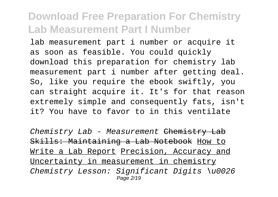lab measurement part i number or acquire it as soon as feasible. You could quickly download this preparation for chemistry lab measurement part i number after getting deal. So, like you require the ebook swiftly, you can straight acquire it. It's for that reason extremely simple and consequently fats, isn't it? You have to favor to in this ventilate

Chemistry Lab - Measurement Chemistry Lab Skills: Maintaining a Lab Notebook How to Write a Lab Report Precision, Accuracy and Uncertainty in measurement in chemistry Chemistry Lesson: Significant Digits \u0026 Page 2/19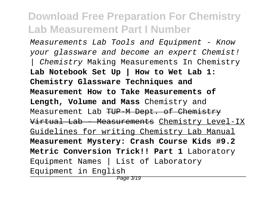Measurements Lab Tools and Equipment - Know your glassware and become an expert Chemist! | Chemistry Making Measurements In Chemistry **Lab Notebook Set Up | How to Wet Lab 1: Chemistry Glassware Techniques and Measurement How to Take Measurements of Length, Volume and Mass** Chemistry and Measurement Lab TUP M Dept. of Chemistry Virtual Lab - Measurements Chemistry Level-IX Guidelines for writing Chemistry Lab Manual **Measurement Mystery: Crash Course Kids #9.2 Metric Conversion Trick!! Part 1** Laboratory Equipment Names | List of Laboratory Equipment in English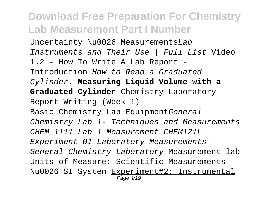Uncertainty \u0026 MeasurementsLab Instruments and Their Use | Full List Video 1.2 - How To Write A Lab Report - Introduction How to Read a Graduated Cylinder. **Measuring Liquid Volume with a Graduated Cylinder** Chemistry Laboratory Report Writing (Week 1)

Basic Chemistry Lab EquipmentGeneral Chemistry Lab 1- Techniques and Measurements CHEM 1111 Lab 1 Measurement CHEM121L Experiment 01 Laboratory Measurements - General Chemistry Laboratory Measurement lab Units of Measure: Scientific Measurements \u0026 SI System Experiment#2: Instrumental Page 4/19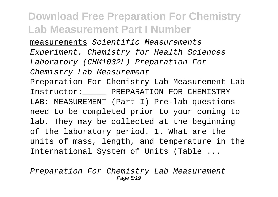measurements Scientific Measurements Experiment. Chemistry for Health Sciences Laboratory (CHM1032L) Preparation For Chemistry Lab Measurement Preparation For Chemistry Lab Measurement Lab Instructor: PREPARATION FOR CHEMISTRY LAB: MEASUREMENT (Part I) Pre-lab questions need to be completed prior to your coming to lab. They may be collected at the beginning of the laboratory period. 1. What are the units of mass, length, and temperature in the International System of Units (Table ...

Preparation For Chemistry Lab Measurement Page 5/19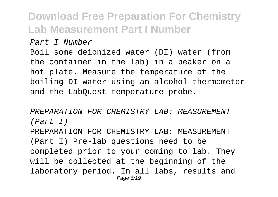#### Part I Number

Boil some deionized water (DI) water (from the container in the lab) in a beaker on a hot plate. Measure the temperature of the boiling DI water using an alcohol thermometer and the LabQuest temperature probe.

PREPARATION FOR CHEMISTRY LAB: MEASUREMENT (Part I)

PREPARATION FOR CHEMISTRY LAB: MEASUREMENT (Part I) Pre-lab questions need to be completed prior to your coming to lab. They will be collected at the beginning of the laboratory period. In all labs, results and Page 6/19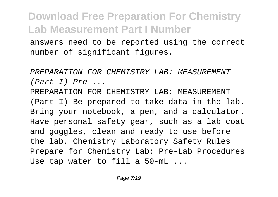answers need to be reported using the correct number of significant figures.

PREPARATION FOR CHEMISTRY LAB: MEASUREMENT (Part I) Pre ...

PREPARATION FOR CHEMISTRY LAB: MEASUREMENT (Part I) Be prepared to take data in the lab. Bring your notebook, a pen, and a calculator. Have personal safety gear, such as a lab coat and goggles, clean and ready to use before the lab. Chemistry Laboratory Safety Rules Prepare for Chemistry Lab: Pre-Lab Procedures Use tap water to fill a 50-mL ...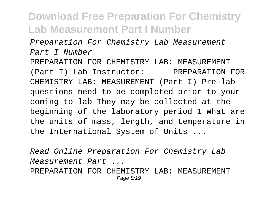Preparation For Chemistry Lab Measurement Part I Number

PREPARATION FOR CHEMISTRY LAB: MEASUREMENT (Part I) Lab Instructor: PREPARATION FOR CHEMISTRY LAB: MEASUREMENT (Part I) Pre-lab questions need to be completed prior to your coming to lab They may be collected at the beginning of the laboratory period 1 What are the units of mass, length, and temperature in the International System of Units ...

Read Online Preparation For Chemistry Lab Measurement Part ... PREPARATION FOR CHEMISTRY LAB: MEASUREMENT Page 8/19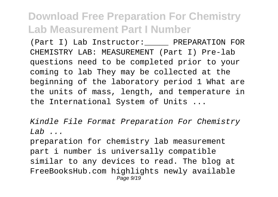(Part I) Lab Instructor: PREPARATION FOR CHEMISTRY LAB: MEASUREMENT (Part I) Pre-lab questions need to be completed prior to your coming to lab They may be collected at the beginning of the laboratory period 1 What are the units of mass, length, and temperature in the International System of Units ...

Kindle File Format Preparation For Chemistry  $Lab \dots$ 

preparation for chemistry lab measurement part i number is universally compatible similar to any devices to read. The blog at FreeBooksHub.com highlights newly available Page  $9/19$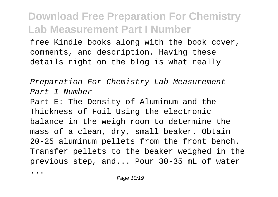free Kindle books along with the book cover, comments, and description. Having these details right on the blog is what really

Preparation For Chemistry Lab Measurement Part I Number Part E: The Density of Aluminum and the Thickness of Foil Using the electronic balance in the weigh room to determine the mass of a clean, dry, small beaker. Obtain 20-25 aluminum pellets from the front bench. Transfer pellets to the beaker weighed in the previous step, and... Pour 30-35 mL of water

...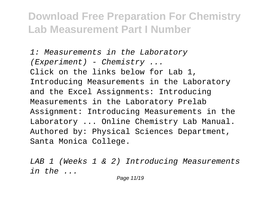1: Measurements in the Laboratory  $(EXperiment)$  - Chemistry ... Click on the links below for Lab 1, Introducing Measurements in the Laboratory and the Excel Assignments: Introducing Measurements in the Laboratory Prelab Assignment: Introducing Measurements in the Laboratory ... Online Chemistry Lab Manual. Authored by: Physical Sciences Department, Santa Monica College.

LAB 1 (Weeks 1 & 2) Introducing Measurements in the ...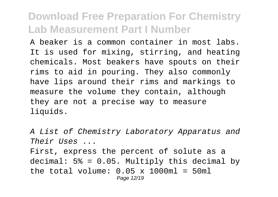A beaker is a common container in most labs. It is used for mixing, stirring, and heating chemicals. Most beakers have spouts on their rims to aid in pouring. They also commonly have lips around their rims and markings to measure the volume they contain, although they are not a precise way to measure liquids.

A List of Chemistry Laboratory Apparatus and Their Uses ... First, express the percent of solute as a decimal:  $5\% = 0.05$ . Multiply this decimal by the total volume:  $0.05 \times 1000$ ml = 50ml Page 12/19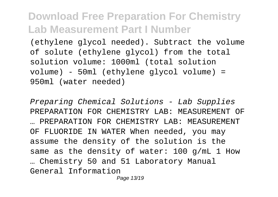(ethylene glycol needed). Subtract the volume of solute (ethylene glycol) from the total solution volume: 1000ml (total solution volume) - 50ml (ethylene glycol volume) = 950ml (water needed)

Preparing Chemical Solutions - Lab Supplies PREPARATION FOR CHEMISTRY LAB: MEASUREMENT OF … PREPARATION FOR CHEMISTRY LAB: MEASUREMENT OF FLUORIDE IN WATER When needed, you may assume the density of the solution is the same as the density of water: 100 g/mL 1 How … Chemistry 50 and 51 Laboratory Manual General Information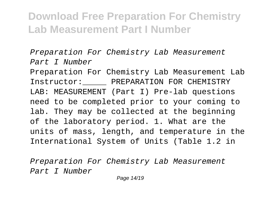Preparation For Chemistry Lab Measurement Part I Number

Preparation For Chemistry Lab Measurement Lab Instructor: PREPARATION FOR CHEMISTRY LAB: MEASUREMENT (Part I) Pre-lab questions need to be completed prior to your coming to lab. They may be collected at the beginning of the laboratory period. 1. What are the units of mass, length, and temperature in the International System of Units (Table 1.2 in

Preparation For Chemistry Lab Measurement Part I Number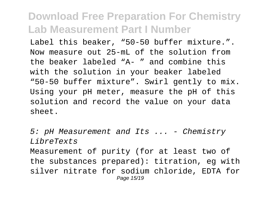Label this beaker, "50-50 buffer mixture.". Now measure out 25-mL of the solution from the beaker labeled "A- " and combine this with the solution in your beaker labeled "50-50 buffer mixture". Swirl gently to mix. Using your pH meter, measure the pH of this solution and record the value on your data sheet.

5: pH Measurement and Its ... - Chemistry LibreTexts Measurement of purity (for at least two of the substances prepared): titration, eg with silver nitrate for sodium chloride, EDTA for Page 15/19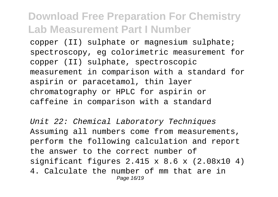copper (II) sulphate or magnesium sulphate; spectroscopy, eg colorimetric measurement for copper (II) sulphate, spectroscopic measurement in comparison with a standard for aspirin or paracetamol, thin layer chromatography or HPLC for aspirin or caffeine in comparison with a standard

Unit 22: Chemical Laboratory Techniques Assuming all numbers come from measurements, perform the following calculation and report the answer to the correct number of significant figures 2.415 x 8.6 x (2.08x10 4) 4. Calculate the number of mm that are in Page 16/19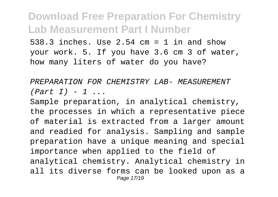538.3 inches. Use 2.54 cm = 1 in and show your work. 5. If you have 3.6 cm 3 of water, how many liters of water do you have?

PREPARATION FOR CHEMISTRY LAB- MEASUREMENT  $(Part I) - 1$  ...

Sample preparation, in analytical chemistry, the processes in which a representative piece of material is extracted from a larger amount and readied for analysis. Sampling and sample preparation have a unique meaning and special importance when applied to the field of analytical chemistry. Analytical chemistry in all its diverse forms can be looked upon as a Page 17/19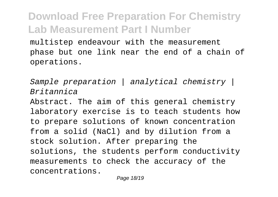multistep endeavour with the measurement phase but one link near the end of a chain of operations.

Sample preparation | analytical chemistry | Britannica

Abstract. The aim of this general chemistry laboratory exercise is to teach students how to prepare solutions of known concentration from a solid (NaCl) and by dilution from a stock solution. After preparing the solutions, the students perform conductivity measurements to check the accuracy of the concentrations.